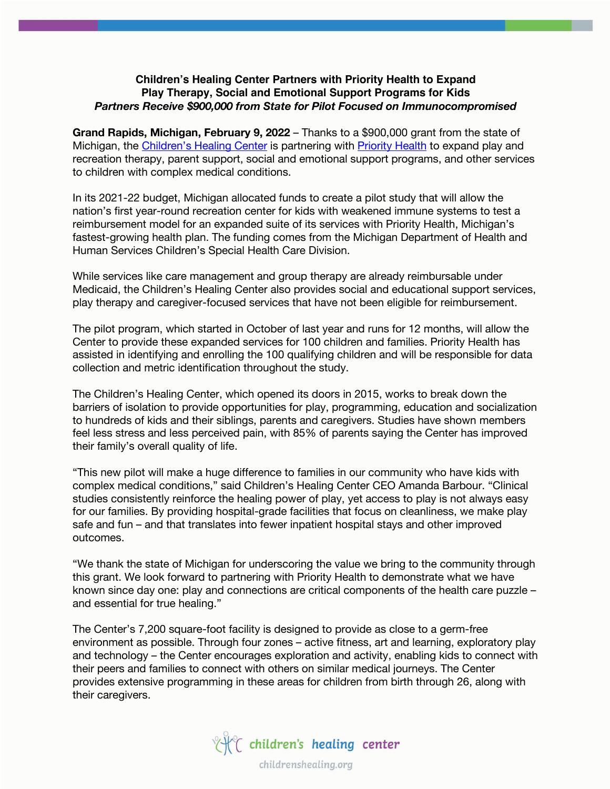## **Children's Healing Center Partners with Priority Health to Expand Play Therapy, Social and Emotional Support Programs for Kids**  *Partners Receive \$900,000 from State for Pilot Focused on Immunocompromised*

**Grand Rapids, Michigan, February 9, 2022** – Thanks to a \$900,000 grant from the state of Michigan, the Children's Healing Center is partnering with Priority Health to expand play and recreation therapy, parent support, social and emotional support programs, and other services to children with complex medical conditions.

In its 2021-22 budget, Michigan allocated funds to create a pilot study that will allow the nation's first year-round recreation center for kids with weakened immune systems to test a reimbursement model for an expanded suite of its services with Priority Health, Michigan's fastest-growing health plan. The funding comes from the Michigan Department of Health and Human Services Children's Special Health Care Division.

While services like care management and group therapy are already reimbursable under Medicaid, the Children's Healing Center also provides social and educational support services, play therapy and caregiver-focused services that have not been eligible for reimbursement.

The pilot program, which started in October of last year and runs for 12 months, will allow the Center to provide these expanded services for 100 children and families. Priority Health has assisted in identifying and enrolling the 100 qualifying children and will be responsible for data collection and metric identification throughout the study.

The Children's Healing Center, which opened its doors in 2015, works to break down the barriers of isolation to provide opportunities for play, programming, education and socialization to hundreds of kids and their siblings, parents and caregivers. Studies have shown members feel less stress and less perceived pain, with 85% of parents saying the Center has improved their family's overall quality of life.

"This new pilot will make a huge difference to families in our community who have kids with complex medical conditions," said Children's Healing Center CEO Amanda Barbour. "Clinical studies consistently reinforce the healing power of play, yet access to play is not always easy for our families. By providing hospital-grade facilities that focus on cleanliness, we make play safe and fun – and that translates into fewer inpatient hospital stays and other improved outcomes.

"We thank the state of Michigan for underscoring the value we bring to the community through this grant. We look forward to partnering with Priority Health to demonstrate what we have known since day one: play and connections are critical components of the health care puzzle – and essential for true healing."

The Center's 7,200 square-foot facility is designed to provide as close to a germ-free environment as possible. Through four zones – active fitness, art and learning, exploratory play and technology – the Center encourages exploration and activity, enabling kids to connect with their peers and families to connect with others on similar medical journeys. The Center provides extensive programming in these areas for children from birth through 26, along with their caregivers.